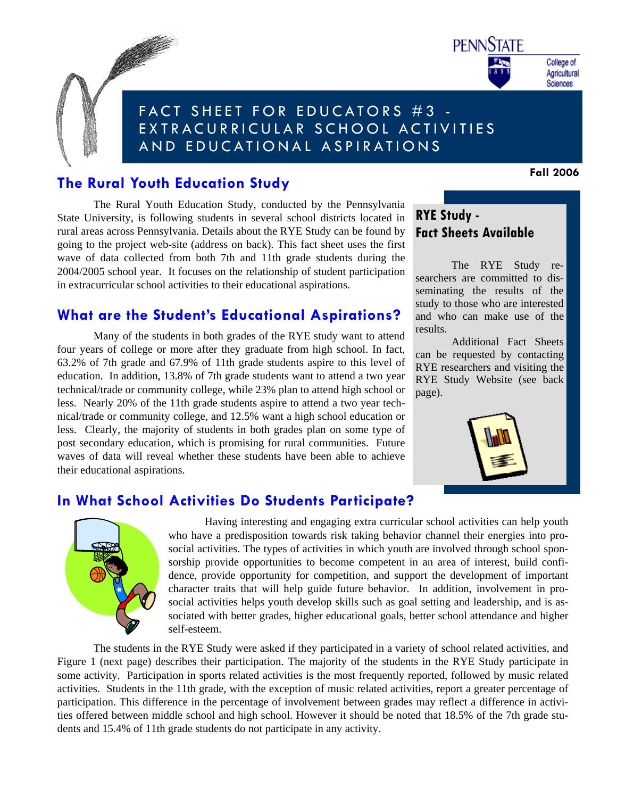

College of Agricultural Sciences

# FACT SHEET FOR EDUCATORS #3 - EXTRACURRICULAR SCHOOL ACTIVITIES AND EDUCATIONAL ASPIRATIONS

### **The Rural Youth Education Study**

**CONTRACTOR** 

The Rural Youth Education Study, conducted by the Pennsylvania State University, is following students in several school districts located in rural areas across Pennsylvania. Details about the RYE Study can be found by going to the project web-site (address on back). This fact sheet uses the first wave of data collected from both 7th and 11th grade students during the 2004/2005 school year. It focuses on the relationship of student participation in extracurricular school activities to their educational aspirations.

### **What are the Student's Educational Aspirations?**

 Many of the students in both grades of the RYE study want to attend four years of college or more after they graduate from high school. In fact, 63.2% of 7th grade and 67.9% of 11th grade students aspire to this level of education. In addition, 13.8% of 7th grade students want to attend a two year technical/trade or community college, while 23% plan to attend high school or less. Nearly 20% of the 11th grade students aspire to attend a two year technical/trade or community college, and 12.5% want a high school education or less. Clearly, the majority of students in both grades plan on some type of post secondary education, which is promising for rural communities. Future waves of data will reveal whether these students have been able to achieve their educational aspirations.

## **RYE Study - Fact Sheets Available**

 The RYE Study researchers are committed to disseminating the results of the study to those who are interested and who can make use of the results.

 Additional Fact Sheets can be requested by contacting RYE researchers and visiting the RYE Study Website (see back page).



### **In What School Activities Do Students Participate?**



 Having interesting and engaging extra curricular school activities can help youth who have a predisposition towards risk taking behavior channel their energies into prosocial activities. The types of activities in which youth are involved through school sponsorship provide opportunities to become competent in an area of interest, build confidence, provide opportunity for competition, and support the development of important character traits that will help guide future behavior. In addition, involvement in prosocial activities helps youth develop skills such as goal setting and leadership, and is associated with better grades, higher educational goals, better school attendance and higher self-esteem.

 The students in the RYE Study were asked if they participated in a variety of school related activities, and Figure 1 (next page) describes their participation. The majority of the students in the RYE Study participate in some activity. Participation in sports related activities is the most frequently reported, followed by music related activities. Students in the 11th grade, with the exception of music related activities, report a greater percentage of participation. This difference in the percentage of involvement between grades may reflect a difference in activities offered between middle school and high school. However it should be noted that 18.5% of the 7th grade students and 15.4% of 11th grade students do not participate in any activity.

**Fall 2006**